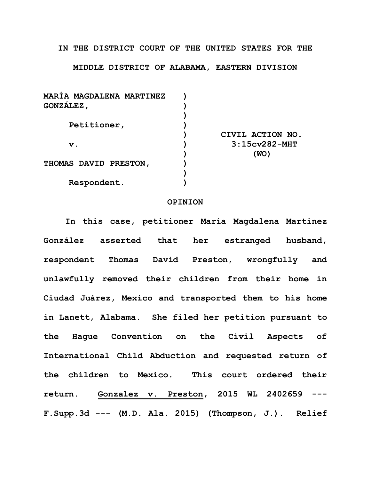## **IN THE DISTRICT COURT OF THE UNITED STATES FOR THE**

## **MIDDLE DISTRICT OF ALABAMA, EASTERN DIVISION**

| <b>MARIA MAGDALENA MARTINEZ</b> |                  |
|---------------------------------|------------------|
| GONZALEZ,                       |                  |
|                                 |                  |
| Petitioner,                     |                  |
|                                 | CIVIL ACTION NO. |
| $\mathbf v$ .                   | $3:15cy282-MHT$  |
|                                 | (WO)             |
| THOMAS DAVID PRESTON,           |                  |
|                                 |                  |
| Respondent.                     |                  |

## **OPINION**

**In this case, petitioner María Magdalena Martinez González asserted that her estranged husband, respondent Thomas David Preston, wrongfully and unlawfully removed their children from their home in Ciudad Juárez, Mexico and transported them to his home in Lanett, Alabama. She filed her petition pursuant to the Hague Convention on the Civil Aspects of International Child Abduction and requested return of the children to Mexico. This court ordered their return. Gonzalez v. Preston, 2015 WL 2402659 --- F.Supp.3d --- (M.D. Ala. 2015) (Thompson, J.). Relief**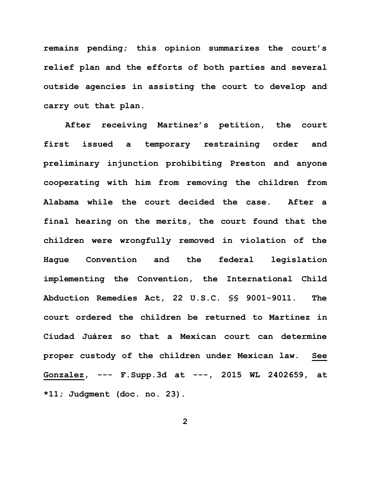**remains pending; this opinion summarizes the court's relief plan and the efforts of both parties and several outside agencies in assisting the court to develop and carry out that plan.**

**After receiving Martinez's petition, the court first issued a temporary restraining order and preliminary injunction prohibiting Preston and anyone cooperating with him from removing the children from Alabama while the court decided the case. After a final hearing on the merits, the court found that the children were wrongfully removed in violation of the Hague Convention and the federal legislation implementing the Convention, the International Child Abduction Remedies Act, 22 U.S.C. §§ 9001-9011. The court ordered the children be returned to Martinez in Ciudad Juárez so that a Mexican court can determine proper custody of the children under Mexican law. See Gonzalez, --- F.Supp.3d at ---, 2015 WL 2402659, at \*11; Judgment (doc. no. 23).**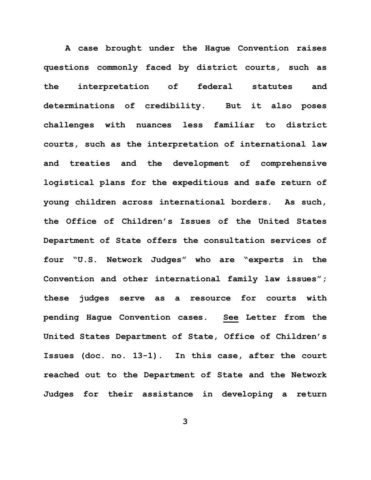**A case brought under the Hague Convention raises questions commonly faced by district courts, such as the interpretation of federal statutes and determinations of credibility. But it also poses challenges with nuances less familiar to district courts, such as the interpretation of international law and treaties and the development of comprehensive logistical plans for the expeditious and safe return of young children across international borders. As such, the Office of Children's Issues of the United States Department of State offers the consultation services of four "U.S. Network Judges" who are "experts in the Convention and other international family law issues"; these judges serve as a resource for courts with pending Hague Convention cases. See Letter from the United States Department of State, Office of Children's Issues (doc. no. 13-1). In this case, after the court reached out to the Department of State and the Network Judges for their assistance in developing a return**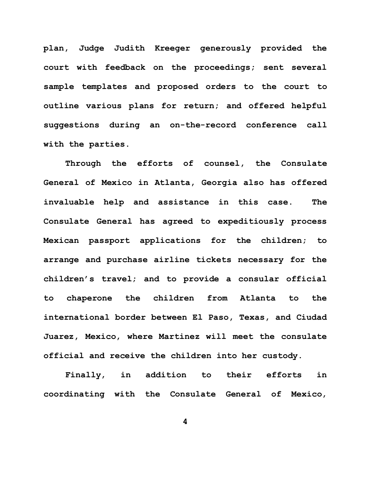**plan, Judge Judith Kreeger generously provided the court with feedback on the proceedings; sent several sample templates and proposed orders to the court to outline various plans for return; and offered helpful suggestions during an on-the-record conference call with the parties.**

**Through the efforts of counsel, the Consulate General of Mexico in Atlanta, Georgia also has offered invaluable help and assistance in this case. The Consulate General has agreed to expeditiously process Mexican passport applications for the children; to arrange and purchase airline tickets necessary for the children's travel; and to provide a consular official to chaperone the children from Atlanta to the international border between El Paso, Texas, and Ciudad Juarez, Mexico, where Martinez will meet the consulate official and receive the children into her custody.**

**Finally, in addition to their efforts in coordinating with the Consulate General of Mexico,**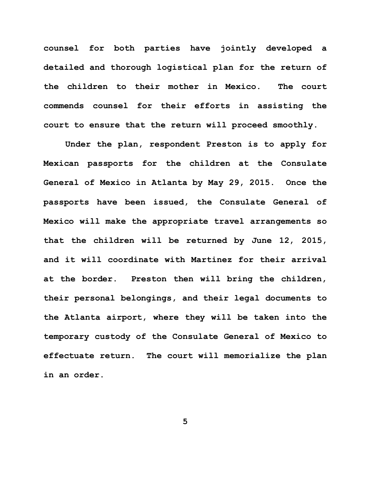**counsel for both parties have jointly developed a detailed and thorough logistical plan for the return of the children to their mother in Mexico. The court commends counsel for their efforts in assisting the court to ensure that the return will proceed smoothly.**

**Under the plan, respondent Preston is to apply for Mexican passports for the children at the Consulate General of Mexico in Atlanta by May 29, 2015. Once the passports have been issued, the Consulate General of Mexico will make the appropriate travel arrangements so that the children will be returned by June 12, 2015, and it will coordinate with Martinez for their arrival at the border. Preston then will bring the children, their personal belongings, and their legal documents to the Atlanta airport, where they will be taken into the temporary custody of the Consulate General of Mexico to effectuate return. The court will memorialize the plan in an order.**